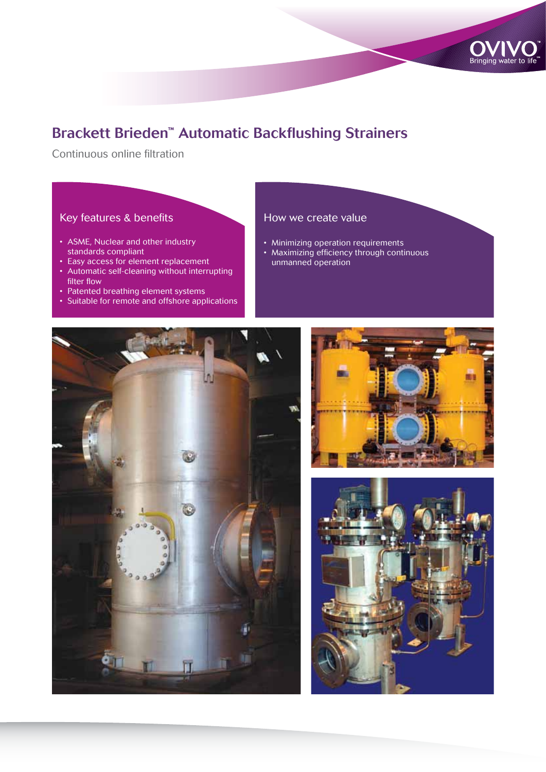

# Brackett Brieden™ Automatic Backflushing Strainers

Continuous online filtration

## Key features & benefits

- ASME, Nuclear and other industry standards compliant
- Easy access for element replacement
- Automatic self-cleaning without interrupting filter flow
- Patented breathing element systems
- Suitable for remote and offshore applications

### How we create value

- Minimizing operation requirements
- Maximizing efficiency through continuous
- unmanned operation





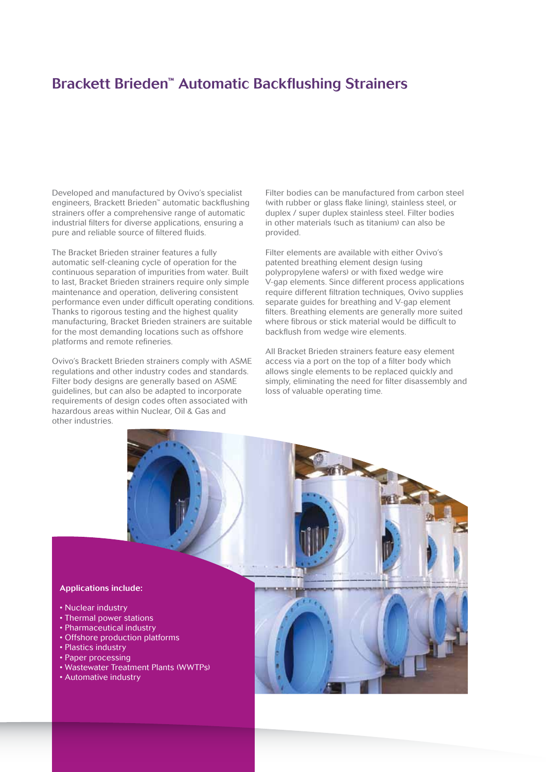## Brackett Brieden™ Automatic Backflushing Strainers

Developed and manufactured by Ovivo's specialist engineers, Brackett Brieden™ automatic backflushing strainers offer a comprehensive range of automatic industrial filters for diverse applications, ensuring a pure and reliable source of filtered fluids.

The Bracket Brieden strainer features a fully automatic self-cleaning cycle of operation for the continuous separation of impurities from water. Built to last, Bracket Brieden strainers require only simple maintenance and operation, delivering consistent performance even under difficult operating conditions. Thanks to rigorous testing and the highest quality manufacturing, Bracket Brieden strainers are suitable for the most demanding locations such as offshore platforms and remote refineries.

Ovivo's Brackett Brieden strainers comply with ASME regulations and other industry codes and standards. Filter body designs are generally based on ASME guidelines, but can also be adapted to incorporate requirements of design codes often associated with hazardous areas within Nuclear, Oil & Gas and other industries.

Filter bodies can be manufactured from carbon steel (with rubber or glass flake lining), stainless steel, or duplex / super duplex stainless steel. Filter bodies in other materials (such as titanium) can also be provided.

Filter elements are available with either Ovivo's patented breathing element design (using polypropylene wafers) or with fixed wedge wire V-gap elements. Since different process applications require different filtration techniques, Ovivo supplies separate guides for breathing and V-gap element filters. Breathing elements are generally more suited where fibrous or stick material would be difficult to backflush from wedge wire elements.

All Bracket Brieden strainers feature easy element access via a port on the top of a filter body which allows single elements to be replaced quickly and simply, eliminating the need for filter disassembly and loss of valuable operating time.



- Nuclear industry
- Thermal power stations
- Pharmaceutical industry
- Offshore production platforms
- Plastics industry
- Paper processing
- Wastewater Treatment Plants (WWTPs)
- Automative industry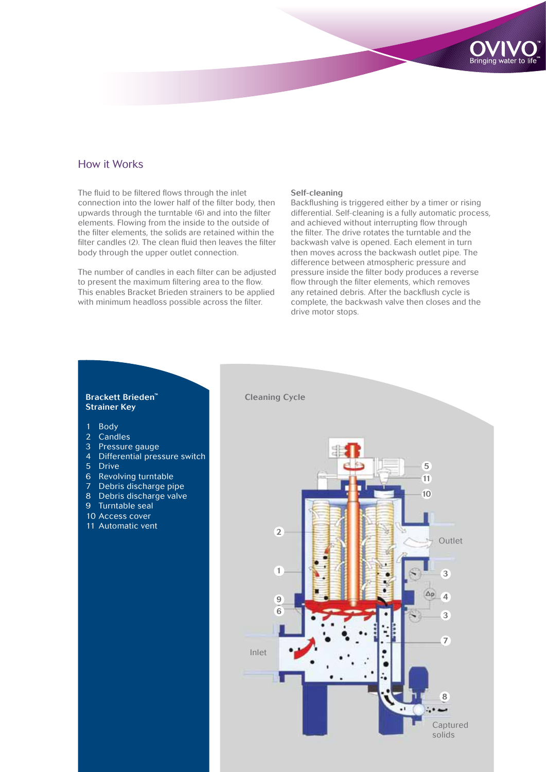#### How it Works

The fluid to be filtered flows through the inlet connection into the lower half of the filter body, then upwards through the turntable (6) and into the filter elements. Flowing from the inside to the outside of the filter elements, the solids are retained within the filter candles (2). The clean fluid then leaves the filter body through the upper outlet connection.

The number of candles in each filter can be adjusted to present the maximum filtering area to the flow. This enables Bracket Brieden strainers to be applied with minimum headloss possible across the filter.

#### Self-cleaning

Backflushing is triggered either by a timer or rising differential. Self-cleaning is a fully automatic process, and achieved without interrupting flow through the filter. The drive rotates the turntable and the backwash valve is opened. Each element in turn then moves across the backwash outlet pipe. The difference between atmospheric pressure and pressure inside the filter body produces a reverse flow through the filter elements, which removes any retained debris. After the backflush cycle is complete, the backwash valve then closes and the drive motor stops.

**Bringing wate** 



#### Brackett Brieden™ Strainer Key

- 1 Body
- 2 Candles
- 3 Pressure gauge
- 4 Differential pressure switch
- 5 Drive
- 6 Revolving turntable
- 7 Debris discharge pipe
- 8 Debris discharge valve
- 9 Turntable seal
- 10 Access cover
- 11 Automatic vent